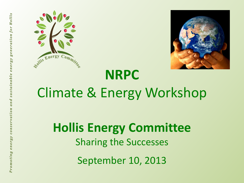



#### **NRPC** Climate & Energy Workshop

**Hollis Energy Committee** Sharing the Successes September 10, 2013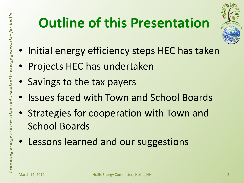## **Outline of this Presentation**



- Initial energy efficiency steps HEC has taken
- Projects HEC has undertaken
- Savings to the tax payers
- Issues faced with Town and School Boards
- Strategies for cooperation with Town and School Boards
- Lessons learned and our suggestions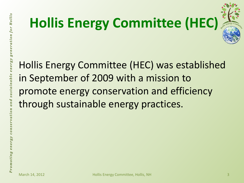# **Hollis Energy Committee (HEC)**



Hollis Energy Committee (HEC) was established in September of 2009 with a mission to promote energy conservation and efficiency through sustainable energy practices.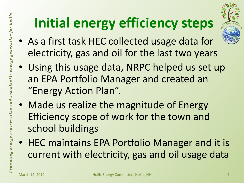# **Initial energy efficiency steps**



- As a first task HEC collected usage data for electricity, gas and oil for the last two years
- Using this usage data, NRPC helped us set up an EPA Portfolio Manager and created an "Energy Action Plan".
- Made us realize the magnitude of Energy Efficiency scope of work for the town and school buildings
- HEC maintains EPA Portfolio Manager and it is current with electricity, gas and oil usage data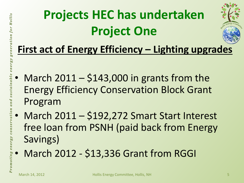## **Projects HEC has undertaken Project One**



#### **First act of Energy Efficiency – Lighting upgrades**

- March  $2011 $143,000$  in grants from the Energy Efficiency Conservation Block Grant Program
- March 2011 \$192,272 Smart Start Interest free loan from PSNH (paid back from Energy Savings)
	- March 2012 \$13,336 Grant from RGGI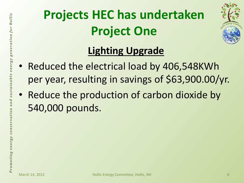## **Projects HEC has undertaken Project One**



#### **Lighting Upgrade**

- Reduced the electrical load by 406,548KWh per year, resulting in savings of \$63,900.00/yr.
- Reduce the production of carbon dioxide by 540,000 pounds.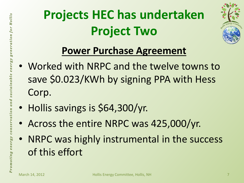## **Projects HEC has undertaken Project Two**



#### **Power Purchase Agreement**

- Worked with NRPC and the twelve towns to save \$0.023/KWh by signing PPA with Hess Corp.
- Hollis savings is \$64,300/yr.
- Across the entire NRPC was 425,000/yr.
- NRPC was highly instrumental in the success of this effort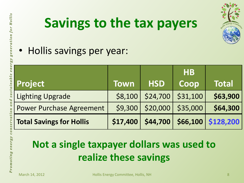

## **Savings to the tax payers**

• Hollis savings per year:

| <b>Project</b>                  | <b>Town</b> | <b>HSD</b> | <b>HB</b><br>Coop | <b>Total</b>       |
|---------------------------------|-------------|------------|-------------------|--------------------|
| <b>Lighting Upgrade</b>         | \$8,100     | \$24,700   | \$31,100          | \$63,900           |
| <b>Power Purchase Agreement</b> | \$9,300     | \$20,000   | \$35,000          | \$64,300           |
| <b>Total Savings for Hollis</b> | \$17,400    | \$44,700   |                   | \$66,100 \$128,200 |

#### **Not a single taxpayer dollars was used to realize these savings**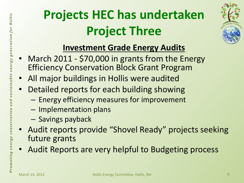## **Projects HEC has undertaken Project Three**



#### **Investment Grade Energy Audits**

- March 2011 \$70,000 in grants from the Energy Efficiency Conservation Block Grant Program
- All major buildings in Hollis were audited
- Detailed reports for each building showing
	- Energy efficiency measures for improvement
	- Implementation plans
	- Savings payback
- Audit reports provide "Shovel Ready" projects seeking future grants
- Audit Reports are very helpful to Budgeting process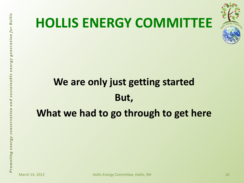

#### **HOLLIS ENERGY COMMITTEE**

#### **We are only just getting started But, What we had to go through to get here**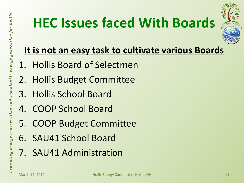## **HEC Issues faced With Boards**



#### **It is not an easy task to cultivate various Boards**

- 1. Hollis Board of Selectmen
- 2. Hollis Budget Committee
- 3. Hollis School Board
- 4. COOP School Board
- 5. COOP Budget Committee
- 6. SAU41 School Board
- 7. SAU41 Administration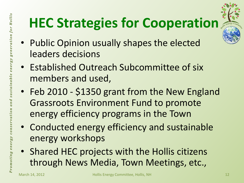# **HEC Strategies for Cooperation**

- Public Opinion usually shapes the elected leaders decisions
- Established Outreach Subcommittee of six members and used,
- Feb 2010 \$1350 grant from the New England Grassroots Environment Fund to promote energy efficiency programs in the Town
- Conducted energy efficiency and sustainable energy workshops
- Shared HEC projects with the Hollis citizens through News Media, Town Meetings, etc.,

sustainable energy generation for Hollis

and

conservation

omoting energy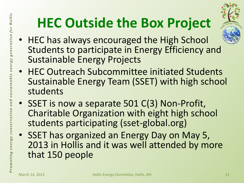# **HEC Outside the Box Project**



- HEC has always encouraged the High School Students to participate in Energy Efficiency and Sustainable Energy Projects
- HEC Outreach Subcommittee initiated Students Sustainable Energy Team (SSET) with high school students
- SSET is now a separate 501 C(3) Non-Profit, Charitable Organization with eight high school students participating (sset-global.org)
- SSET has organized an Energy Day on May 5, 2013 in Hollis and it was well attended by more that 150 people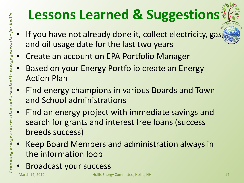# **Lessons Learned & Suggestions**

- If you have not already done it, collect electricity, gas, and oil usage date for the last two years
- Create an account on EPA Portfolio Manager
- Based on your Energy Portfolio create an Energy Action Plan
- Find energy champions in various Boards and Town and School administrations
- Find an energy project with immediate savings and search for grants and interest free loans (success breeds success)
- Keep Board Members and administration always in the information loop
- Broadcast your success